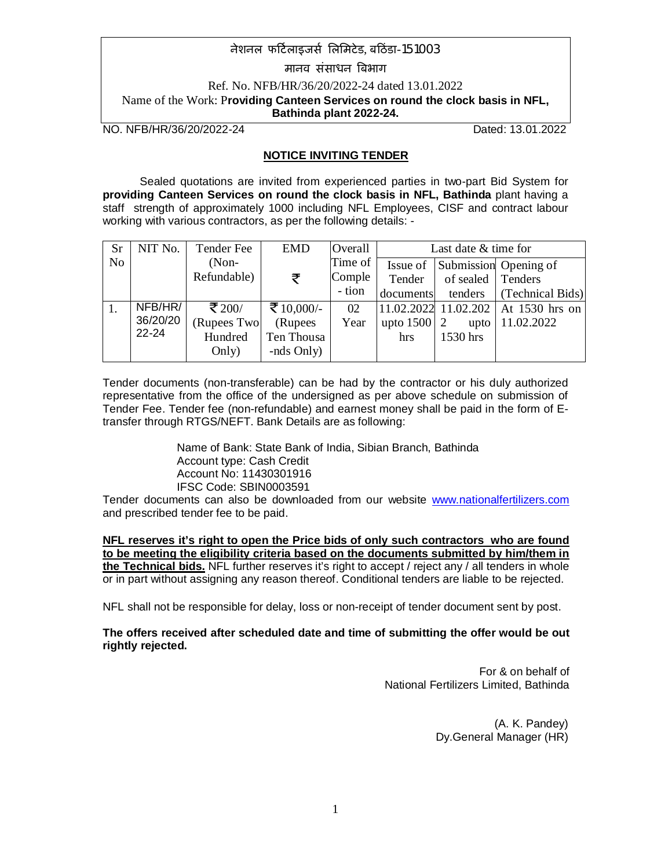मानव संसाधन बिभाग

Ref. No. NFB/HR/36/20/2022-24 dated 13.01.2022 Name of the Work: P**roviding Canteen Services on round the clock basis in NFL, Bathinda plant 2022-24.**

NO. NFB/HR/36/20/2022-24 Dated: 13.01.2022

### **NOTICE INVITING TENDER**

Sealed quotations are invited from experienced parties in two-part Bid System for **providing Canteen Services on round the clock basis in NFL, Bathinda** plant having a staff strength of approximately 1000 including NFL Employees, CISF and contract labour working with various contractors, as per the following details: -

| <b>Sr</b> | NIT No.   | Tender Fee        | <b>EMD</b> | Overall  | Last date & time for |                   |                                         |  |  |  |
|-----------|-----------|-------------------|------------|----------|----------------------|-------------------|-----------------------------------------|--|--|--|
| No        |           | $(Non-$           |            | Time of  |                      |                   | Issue of Submission Opening of          |  |  |  |
|           |           | Refundable)       | ₹          | Complete | Tender               | of sealed Tenders |                                         |  |  |  |
|           |           |                   |            | - tion   | documents            | tenders           | (Technical Bids)                        |  |  |  |
|           | NFB/HR/   | ₹ 200/            | ₹ 10,000/- | 02       |                      |                   | $ 11.02.2022 11.02.202 $ At 1530 hrs on |  |  |  |
|           | 36/20/20  | <b>Rupees Two</b> | (Rupees)   | Year     | upto $1500$   2      | upto              | 11.02.2022                              |  |  |  |
|           | $22 - 24$ | Hundred           | Ten Thousa |          | hrs                  | 1530 hrs          |                                         |  |  |  |
|           |           | Only)             | -nds Only) |          |                      |                   |                                         |  |  |  |

Tender documents (non-transferable) can be had by the contractor or his duly authorized representative from the office of the undersigned as per above schedule on submission of Tender Fee. Tender fee (non-refundable) and earnest money shall be paid in the form of Etransfer through RTGS/NEFT. Bank Details are as following:

> Name of Bank: State Bank of India, Sibian Branch, Bathinda Account type: Cash Credit Account No: 11430301916 IFSC Code: SBIN0003591

Tender documents can also be downloaded from our website www.nationalfertilizers.com and prescribed tender fee to be paid.

**NFL reserves it's right to open the Price bids of only such contractors who are found to be meeting the eligibility criteria based on the documents submitted by him/them in the Technical bids.** NFL further reserves it's right to accept / reject any / all tenders in whole or in part without assigning any reason thereof. Conditional tenders are liable to be rejected.

NFL shall not be responsible for delay, loss or non-receipt of tender document sent by post.

**The offers received after scheduled date and time of submitting the offer would be out rightly rejected.**

> For & on behalf of National Fertilizers Limited, Bathinda

> > (A. K. Pandey) Dy.General Manager (HR)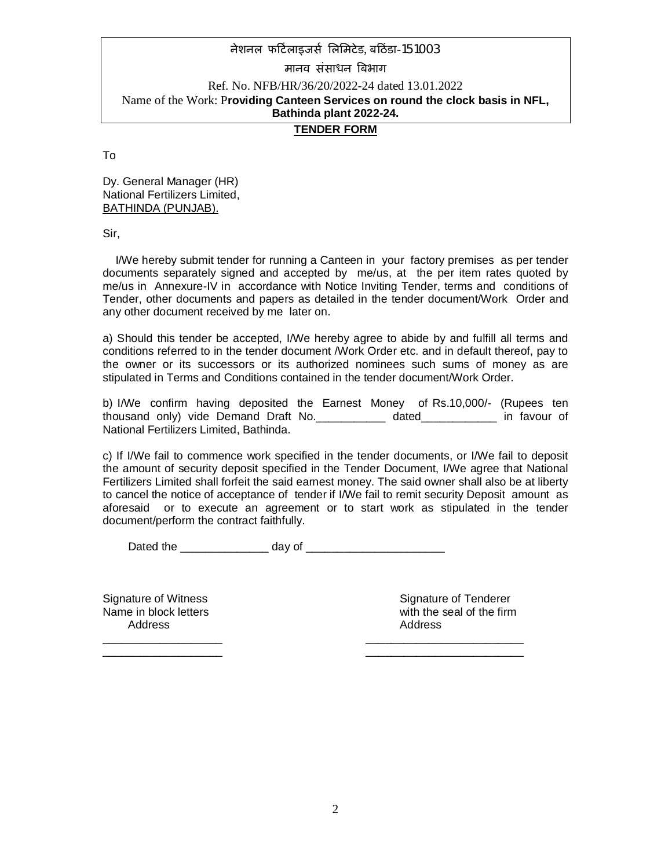### **TENDER FORM**

To

Dy. General Manager (HR) National Fertilizers Limited, BATHINDA (PUNJAB).

Sir,

 I/We hereby submit tender for running a Canteen in your factory premises as per tender documents separately signed and accepted by me/us, at the per item rates quoted by me/us in Annexure-IV in accordance with Notice Inviting Tender, terms and conditions of Tender, other documents and papers as detailed in the tender document/Work Order and any other document received by me later on.

a) Should this tender be accepted, I/We hereby agree to abide by and fulfill all terms and conditions referred to in the tender document /Work Order etc. and in default thereof, pay to the owner or its successors or its authorized nominees such sums of money as are stipulated in Terms and Conditions contained in the tender document/Work Order.

b) I/We confirm having deposited the Earnest Money of Rs.10,000/- (Rupees ten thousand only) vide Demand Draft No.\_\_\_\_\_\_\_\_\_\_\_ dated\_\_\_\_\_\_\_\_\_\_\_\_ in favour of National Fertilizers Limited, Bathinda.

c) If I/We fail to commence work specified in the tender documents, or I/We fail to deposit the amount of security deposit specified in the Tender Document, I/We agree that National Fertilizers Limited shall forfeit the said earnest money. The said owner shall also be at liberty to cancel the notice of acceptance of tender if I/We fail to remit security Deposit amount as aforesaid or to execute an agreement or to start work as stipulated in the tender document/perform the contract faithfully.

Dated the \_\_\_\_\_\_\_\_\_\_\_\_\_\_ day of \_\_\_\_\_\_\_\_\_\_\_\_\_\_\_\_\_\_\_\_\_\_

\_\_\_\_\_\_\_\_\_\_\_\_\_\_\_\_\_\_\_ \_\_\_\_\_\_\_\_\_\_\_\_\_\_\_\_\_\_\_\_\_\_\_\_\_ \_\_\_\_\_\_\_\_\_\_\_\_\_\_\_\_\_\_\_ \_\_\_\_\_\_\_\_\_\_\_\_\_\_\_\_\_\_\_\_\_\_\_\_\_

Address Address Address Address Address Address Address Address Address Address Address Address Address Address A

Signature of Witness Signature of Tenderer Name in block letters with the seal of the firm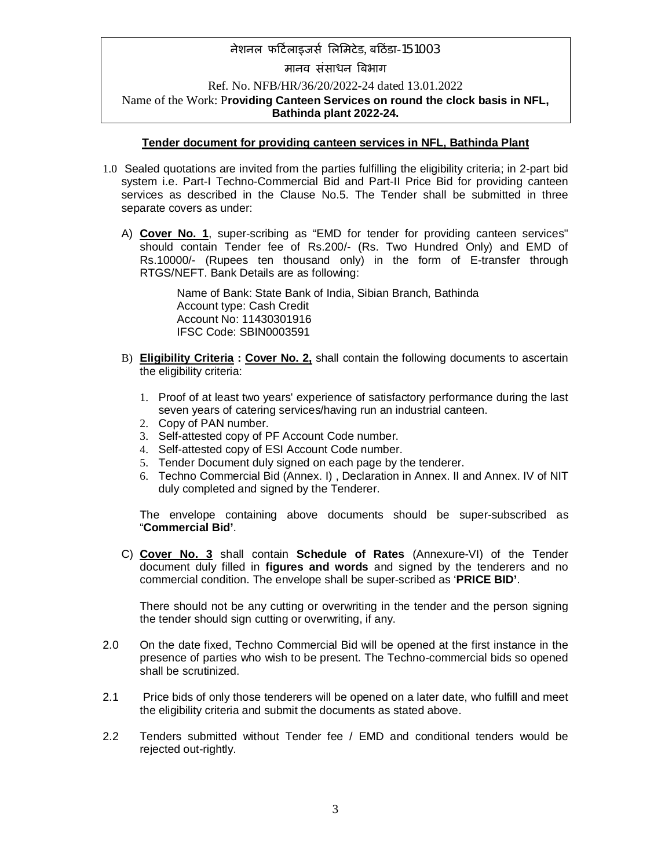# मानव संसाधन बिभाग

Ref. No. NFB/HR/36/20/2022-24 dated 13.01.2022 Name of the Work: P**roviding Canteen Services on round the clock basis in NFL, Bathinda plant 2022-24.**

### **Tender document for providing canteen services in NFL, Bathinda Plant**

- 1.0 Sealed quotations are invited from the parties fulfilling the eligibility criteria; in 2-part bid system i.e. Part-I Techno-Commercial Bid and Part-II Price Bid for providing canteen services as described in the Clause No.5. The Tender shall be submitted in three separate covers as under:
	- A) **Cover No. 1**, super-scribing as "EMD for tender for providing canteen services" should contain Tender fee of Rs.200/- (Rs. Two Hundred Only) and EMD of Rs.10000/- (Rupees ten thousand only) in the form of E-transfer through RTGS/NEFT. Bank Details are as following:

Name of Bank: State Bank of India, Sibian Branch, Bathinda Account type: Cash Credit Account No: 11430301916 IFSC Code: SBIN0003591

- B) **Eligibility Criteria : Cover No. 2,** shall contain the following documents to ascertain the eligibility criteria:
	- 1. Proof of at least two years' experience of satisfactory performance during the last seven years of catering services/having run an industrial canteen.
	- 2. Copy of PAN number.
	- 3. Self-attested copy of PF Account Code number.
	- 4. Self-attested copy of ESI Account Code number.
	- 5. Tender Document duly signed on each page by the tenderer.
	- 6. Techno Commercial Bid (Annex. I) , Declaration in Annex. II and Annex. IV of NIT duly completed and signed by the Tenderer.

The envelope containing above documents should be super-subscribed as "**Commercial Bid'**.

C) **Cover No. 3** shall contain **Schedule of Rates** (Annexure-VI) of the Tender document duly filled in **figures and words** and signed by the tenderers and no commercial condition. The envelope shall be super-scribed as '**PRICE BID'**.

There should not be any cutting or overwriting in the tender and the person signing the tender should sign cutting or overwriting, if any.

- 2.0 On the date fixed, Techno Commercial Bid will be opened at the first instance in the presence of parties who wish to be present. The Techno-commercial bids so opened shall be scrutinized.
- 2.1 Price bids of only those tenderers will be opened on a later date, who fulfill and meet the eligibility criteria and submit the documents as stated above.
- 2.2 Tenders submitted without Tender fee / EMD and conditional tenders would be rejected out-rightly.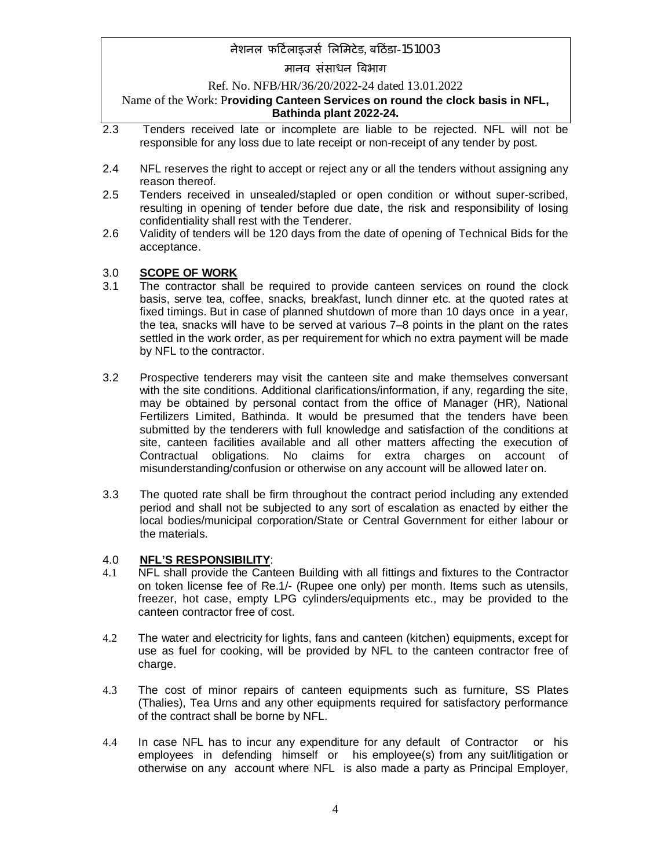### मानव संसाधन बिभाग

### Ref. No. NFB/HR/36/20/2022-24 dated 13.01.2022

### Name of the Work: P**roviding Canteen Services on round the clock basis in NFL, Bathinda plant 2022-24.**

- 2.3 Tenders received late or incomplete are liable to be rejected. NFL will not be responsible for any loss due to late receipt or non-receipt of any tender by post.
- 2.4 NFL reserves the right to accept or reject any or all the tenders without assigning any reason thereof.
- 2.5 Tenders received in unsealed/stapled or open condition or without super-scribed, resulting in opening of tender before due date, the risk and responsibility of losing confidentiality shall rest with the Tenderer.
- 2.6 Validity of tenders will be 120 days from the date of opening of Technical Bids for the acceptance.

### 3.0 **SCOPE OF WORK**

- 3.1 The contractor shall be required to provide canteen services on round the clock basis, serve tea, coffee, snacks, breakfast, lunch dinner etc. at the quoted rates at fixed timings. But in case of planned shutdown of more than 10 days once in a year, the tea, snacks will have to be served at various 7–8 points in the plant on the rates settled in the work order, as per requirement for which no extra payment will be made by NFL to the contractor.
- 3.2 Prospective tenderers may visit the canteen site and make themselves conversant with the site conditions. Additional clarifications/information, if any, regarding the site, may be obtained by personal contact from the office of Manager (HR), National Fertilizers Limited, Bathinda. It would be presumed that the tenders have been submitted by the tenderers with full knowledge and satisfaction of the conditions at site, canteen facilities available and all other matters affecting the execution of Contractual obligations. No claims for extra charges on account of misunderstanding/confusion or otherwise on any account will be allowed later on.
- 3.3 The quoted rate shall be firm throughout the contract period including any extended period and shall not be subjected to any sort of escalation as enacted by either the local bodies/municipal corporation/State or Central Government for either labour or the materials.

### 4.0 **NFL'S RESPONSIBILITY**:

- 4.1 NFL shall provide the Canteen Building with all fittings and fixtures to the Contractor on token license fee of Re.1/- (Rupee one only) per month. Items such as utensils, freezer, hot case, empty LPG cylinders/equipments etc., may be provided to the canteen contractor free of cost.
- 4.2 The water and electricity for lights, fans and canteen (kitchen) equipments, except for use as fuel for cooking, will be provided by NFL to the canteen contractor free of charge.
- 4.3 The cost of minor repairs of canteen equipments such as furniture, SS Plates (Thalies), Tea Urns and any other equipments required for satisfactory performance of the contract shall be borne by NFL.
- 4.4 In case NFL has to incur any expenditure for any default of Contractor or his employees in defending himself or his employee(s) from any suit/litigation or otherwise on any account where NFL is also made a party as Principal Employer,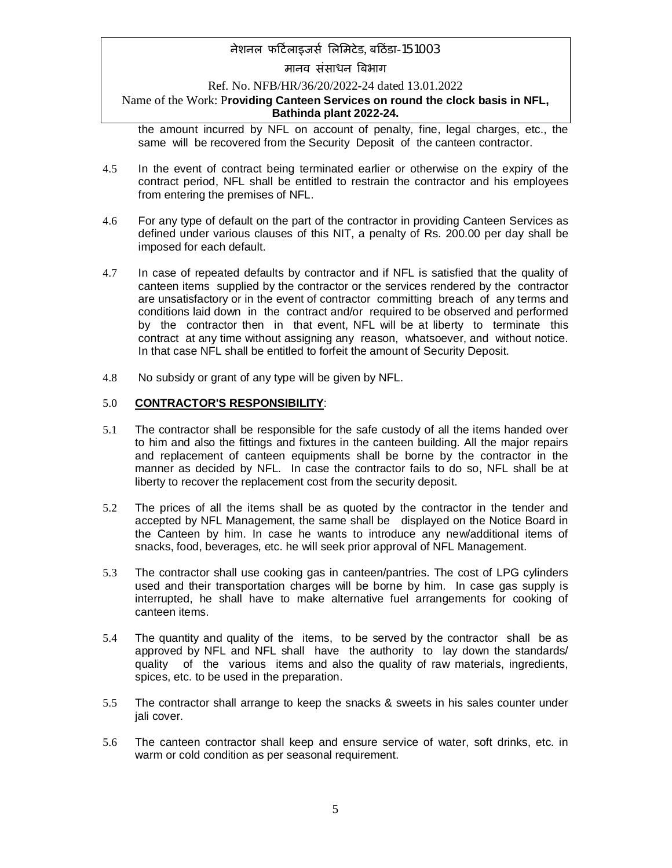## मानव संसाधन बिभाग

### Ref. No. NFB/HR/36/20/2022-24 dated 13.01.2022

### Name of the Work: P**roviding Canteen Services on round the clock basis in NFL, Bathinda plant 2022-24.**

the amount incurred by NFL on account of penalty, fine, legal charges, etc., the same will be recovered from the Security Deposit of the canteen contractor.

- 4.5 In the event of contract being terminated earlier or otherwise on the expiry of the contract period, NFL shall be entitled to restrain the contractor and his employees from entering the premises of NFL.
- 4.6 For any type of default on the part of the contractor in providing Canteen Services as defined under various clauses of this NIT, a penalty of Rs. 200.00 per day shall be imposed for each default.
- 4.7 In case of repeated defaults by contractor and if NFL is satisfied that the quality of canteen items supplied by the contractor or the services rendered by the contractor are unsatisfactory or in the event of contractor committing breach of any terms and conditions laid down in the contract and/or required to be observed and performed by the contractor then in that event, NFL will be at liberty to terminate this contract at any time without assigning any reason, whatsoever, and without notice. In that case NFL shall be entitled to forfeit the amount of Security Deposit.
- 4.8 No subsidy or grant of any type will be given by NFL.

### 5.0 **CONTRACTOR'S RESPONSIBILITY**:

- 5.1 The contractor shall be responsible for the safe custody of all the items handed over to him and also the fittings and fixtures in the canteen building. All the major repairs and replacement of canteen equipments shall be borne by the contractor in the manner as decided by NFL. In case the contractor fails to do so, NFL shall be at liberty to recover the replacement cost from the security deposit.
- 5.2 The prices of all the items shall be as quoted by the contractor in the tender and accepted by NFL Management, the same shall be displayed on the Notice Board in the Canteen by him. In case he wants to introduce any new/additional items of snacks, food, beverages, etc. he will seek prior approval of NFL Management.
- 5.3 The contractor shall use cooking gas in canteen/pantries. The cost of LPG cylinders used and their transportation charges will be borne by him. In case gas supply is interrupted, he shall have to make alternative fuel arrangements for cooking of canteen items.
- 5.4 The quantity and quality of the items, to be served by the contractor shall be as approved by NFL and NFL shall have the authority to lay down the standards/ quality of the various items and also the quality of raw materials, ingredients, spices, etc. to be used in the preparation.
- 5.5 The contractor shall arrange to keep the snacks & sweets in his sales counter under jali cover.
- 5.6 The canteen contractor shall keep and ensure service of water, soft drinks, etc. in warm or cold condition as per seasonal requirement.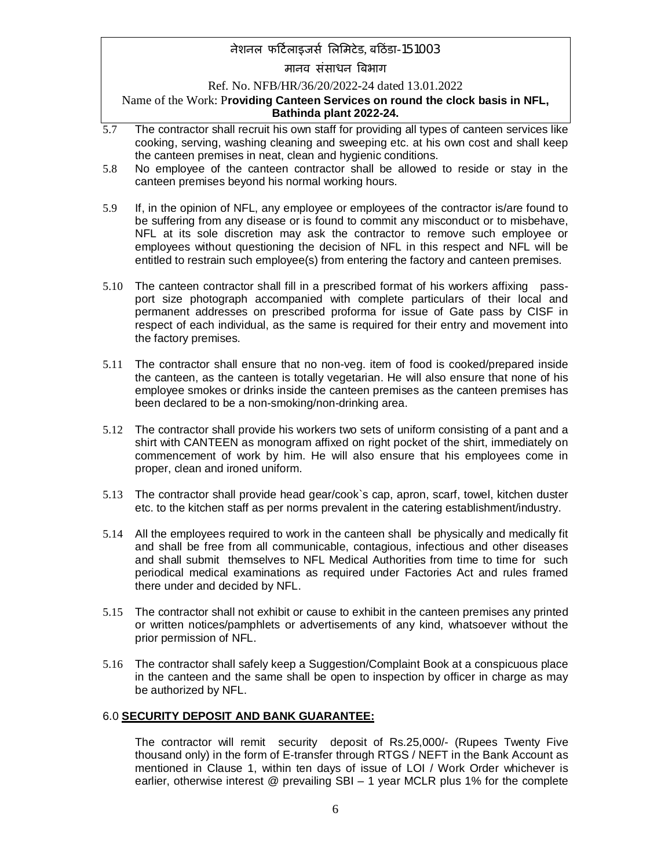### मानव संसाधन बिभाग

Ref. No. NFB/HR/36/20/2022-24 dated 13.01.2022

Name of the Work: P**roviding Canteen Services on round the clock basis in NFL, Bathinda plant 2022-24.**

- 5.7 The contractor shall recruit his own staff for providing all types of canteen services like cooking, serving, washing cleaning and sweeping etc. at his own cost and shall keep the canteen premises in neat, clean and hygienic conditions.
- 5.8 No employee of the canteen contractor shall be allowed to reside or stay in the canteen premises beyond his normal working hours.
- 5.9 If, in the opinion of NFL, any employee or employees of the contractor is/are found to be suffering from any disease or is found to commit any misconduct or to misbehave, NFL at its sole discretion may ask the contractor to remove such employee or employees without questioning the decision of NFL in this respect and NFL will be entitled to restrain such employee(s) from entering the factory and canteen premises.
- 5.10 The canteen contractor shall fill in a prescribed format of his workers affixing passport size photograph accompanied with complete particulars of their local and permanent addresses on prescribed proforma for issue of Gate pass by CISF in respect of each individual, as the same is required for their entry and movement into the factory premises.
- 5.11 The contractor shall ensure that no non-veg. item of food is cooked/prepared inside the canteen, as the canteen is totally vegetarian. He will also ensure that none of his employee smokes or drinks inside the canteen premises as the canteen premises has been declared to be a non-smoking/non-drinking area.
- 5.12 The contractor shall provide his workers two sets of uniform consisting of a pant and a shirt with CANTEEN as monogram affixed on right pocket of the shirt, immediately on commencement of work by him. He will also ensure that his employees come in proper, clean and ironed uniform.
- 5.13 The contractor shall provide head gear/cook`s cap, apron, scarf, towel, kitchen duster etc. to the kitchen staff as per norms prevalent in the catering establishment/industry.
- 5.14 All the employees required to work in the canteen shall be physically and medically fit and shall be free from all communicable, contagious, infectious and other diseases and shall submit themselves to NFL Medical Authorities from time to time for such periodical medical examinations as required under Factories Act and rules framed there under and decided by NFL.
- 5.15 The contractor shall not exhibit or cause to exhibit in the canteen premises any printed or written notices/pamphlets or advertisements of any kind, whatsoever without the prior permission of NFL.
- 5.16 The contractor shall safely keep a Suggestion/Complaint Book at a conspicuous place in the canteen and the same shall be open to inspection by officer in charge as may be authorized by NFL.

#### 6.0 **SECURITY DEPOSIT AND BANK GUARANTEE:**

The contractor will remit security deposit of Rs.25,000/- (Rupees Twenty Five thousand only) in the form of E-transfer through RTGS / NEFT in the Bank Account as mentioned in Clause 1, within ten days of issue of LOI / Work Order whichever is earlier, otherwise interest @ prevailing SBI – 1 year MCLR plus 1% for the complete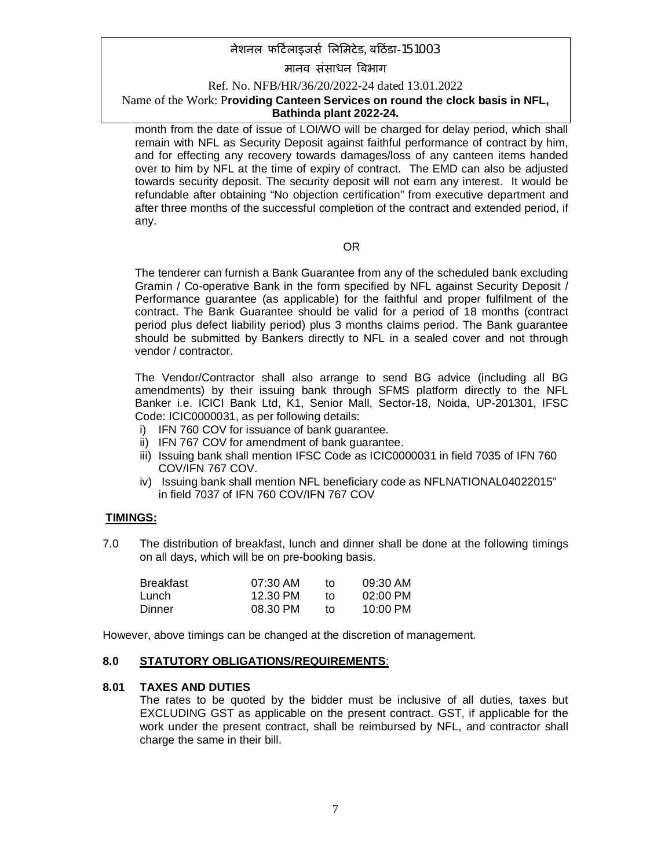### मानव संसाधन बिभाग

### Ref. No. NFB/HR/36/20/2022-24 dated 13.01.2022

### Name of the Work: P**roviding Canteen Services on round the clock basis in NFL, Bathinda plant 2022-24.**

month from the date of issue of LOI/WO will be charged for delay period, which shall remain with NFL as Security Deposit against faithful performance of contract by him, and for effecting any recovery towards damages/loss of any canteen items handed over to him by NFL at the time of expiry of contract. The EMD can also be adjusted towards security deposit. The security deposit will not earn any interest. It would be refundable after obtaining "No objection certification" from executive department and after three months of the successful completion of the contract and extended period, if any.

### OR

The tenderer can furnish a Bank Guarantee from any of the scheduled bank excluding Gramin / Co-operative Bank in the form specified by NFL against Security Deposit / Performance guarantee (as applicable) for the faithful and proper fulfilment of the contract. The Bank Guarantee should be valid for a period of 18 months (contract period plus defect liability period) plus 3 months claims period. The Bank guarantee should be submitted by Bankers directly to NFL in a sealed cover and not through vendor / contractor.

The Vendor/Contractor shall also arrange to send BG advice (including all BG amendments) by their issuing bank through SFMS platform directly to the NFL Banker i.e. ICICI Bank Ltd, K1, Senior Mall, Sector-18, Noida, UP-201301, IFSC Code: ICIC0000031, as per following details:

- i) IFN 760 COV for issuance of bank guarantee.
- ii) IFN 767 COV for amendment of bank guarantee.
- iii) Issuing bank shall mention IFSC Code as ICIC0000031 in field 7035 of IFN 760 COV/IFN 767 COV.
- iv) Issuing bank shall mention NFL beneficiary code as NFLNATIONAL04022015" in field 7037 of IFN 760 COV/IFN 767 COV

### **TIMINGS:**

7.0 The distribution of breakfast, lunch and dinner shall be done at the following timings on all days, which will be on pre-booking basis.

| Breakfast | 07:30 AM | tΩ | 09:30 AM           |
|-----------|----------|----|--------------------|
| Lunch     | 12.30 PM | t٥ | $02:00$ PM         |
| Dinner    | 08.30 PM | t٥ | $10:00 \text{ PM}$ |

However, above timings can be changed at the discretion of management.

#### **8.0 STATUTORY OBLIGATIONS/REQUIREMENTS**:

### **8.01 TAXES AND DUTIES**

The rates to be quoted by the bidder must be inclusive of all duties, taxes but EXCLUDING GST as applicable on the present contract. GST, if applicable for the work under the present contract, shall be reimbursed by NFL, and contractor shall charge the same in their bill.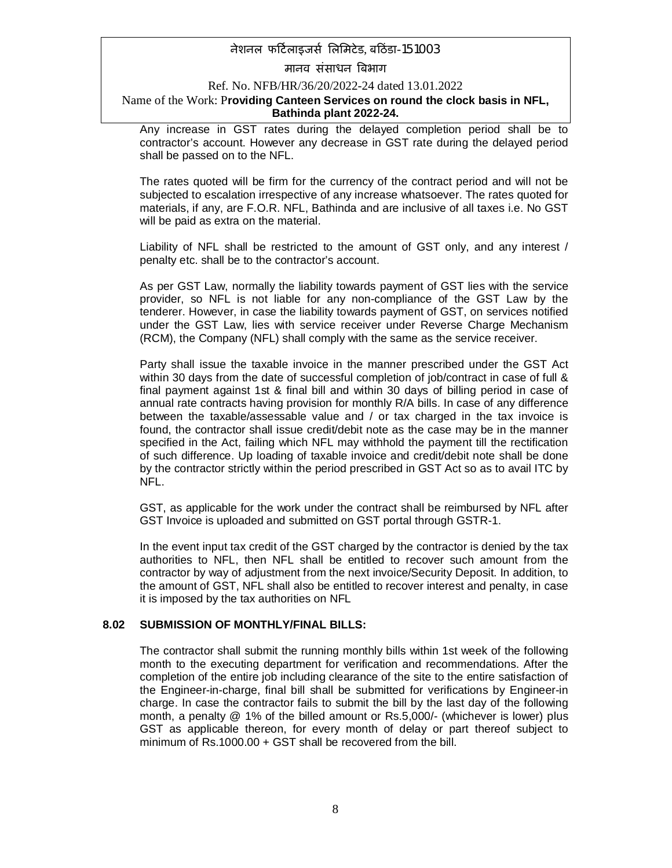### मानव संसाधन बिभाग

#### Ref. No. NFB/HR/36/20/2022-24 dated 13.01.2022

### Name of the Work: P**roviding Canteen Services on round the clock basis in NFL, Bathinda plant 2022-24.**

Any increase in GST rates during the delayed completion period shall be to contractor's account. However any decrease in GST rate during the delayed period shall be passed on to the NFL.

The rates quoted will be firm for the currency of the contract period and will not be subjected to escalation irrespective of any increase whatsoever. The rates quoted for materials, if any, are F.O.R. NFL, Bathinda and are inclusive of all taxes i.e. No GST will be paid as extra on the material.

Liability of NFL shall be restricted to the amount of GST only, and any interest / penalty etc. shall be to the contractor's account.

As per GST Law, normally the liability towards payment of GST lies with the service provider, so NFL is not liable for any non-compliance of the GST Law by the tenderer. However, in case the liability towards payment of GST, on services notified under the GST Law, lies with service receiver under Reverse Charge Mechanism (RCM), the Company (NFL) shall comply with the same as the service receiver.

Party shall issue the taxable invoice in the manner prescribed under the GST Act within 30 days from the date of successful completion of job/contract in case of full & final payment against 1st & final bill and within 30 days of billing period in case of annual rate contracts having provision for monthly R/A bills. In case of any difference between the taxable/assessable value and / or tax charged in the tax invoice is found, the contractor shall issue credit/debit note as the case may be in the manner specified in the Act, failing which NFL may withhold the payment till the rectification of such difference. Up loading of taxable invoice and credit/debit note shall be done by the contractor strictly within the period prescribed in GST Act so as to avail ITC by NFL.

GST, as applicable for the work under the contract shall be reimbursed by NFL after GST Invoice is uploaded and submitted on GST portal through GSTR-1.

In the event input tax credit of the GST charged by the contractor is denied by the tax authorities to NFL, then NFL shall be entitled to recover such amount from the contractor by way of adjustment from the next invoice/Security Deposit. In addition, to the amount of GST, NFL shall also be entitled to recover interest and penalty, in case it is imposed by the tax authorities on NFL

#### **8.02 SUBMISSION OF MONTHLY/FINAL BILLS:**

The contractor shall submit the running monthly bills within 1st week of the following month to the executing department for verification and recommendations. After the completion of the entire job including clearance of the site to the entire satisfaction of the Engineer-in-charge, final bill shall be submitted for verifications by Engineer-in charge. In case the contractor fails to submit the bill by the last day of the following month, a penalty @ 1% of the billed amount or Rs.5,000/- (whichever is lower) plus GST as applicable thereon, for every month of delay or part thereof subject to minimum of Rs.1000.00 + GST shall be recovered from the bill.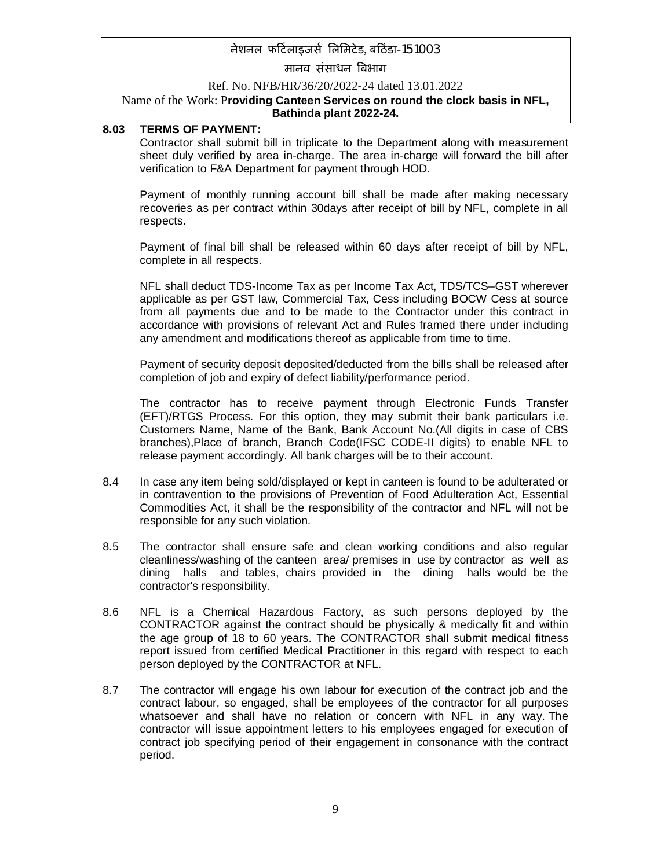### मानव संसाधन बिभाग

### Ref. No. NFB/HR/36/20/2022-24 dated 13.01.2022

#### Name of the Work: P**roviding Canteen Services on round the clock basis in NFL, Bathinda plant 2022-24.**

#### **8.03 TERMS OF PAYMENT:**

Contractor shall submit bill in triplicate to the Department along with measurement sheet duly verified by area in-charge. The area in-charge will forward the bill after verification to F&A Department for payment through HOD.

Payment of monthly running account bill shall be made after making necessary recoveries as per contract within 30days after receipt of bill by NFL, complete in all respects.

Payment of final bill shall be released within 60 days after receipt of bill by NFL, complete in all respects.

NFL shall deduct TDS-Income Tax as per Income Tax Act, TDS/TCS–GST wherever applicable as per GST law, Commercial Tax, Cess including BOCW Cess at source from all payments due and to be made to the Contractor under this contract in accordance with provisions of relevant Act and Rules framed there under including any amendment and modifications thereof as applicable from time to time.

Payment of security deposit deposited/deducted from the bills shall be released after completion of job and expiry of defect liability/performance period.

The contractor has to receive payment through Electronic Funds Transfer (EFT)/RTGS Process. For this option, they may submit their bank particulars i.e. Customers Name, Name of the Bank, Bank Account No.(All digits in case of CBS branches),Place of branch, Branch Code(IFSC CODE-II digits) to enable NFL to release payment accordingly. All bank charges will be to their account.

- 8.4 In case any item being sold/displayed or kept in canteen is found to be adulterated or in contravention to the provisions of Prevention of Food Adulteration Act, Essential Commodities Act, it shall be the responsibility of the contractor and NFL will not be responsible for any such violation.
- 8.5 The contractor shall ensure safe and clean working conditions and also regular cleanliness/washing of the canteen area/ premises in use by contractor as well as dining halls and tables, chairs provided in the dining halls would be the contractor's responsibility.
- 8.6 NFL is a Chemical Hazardous Factory, as such persons deployed by the CONTRACTOR against the contract should be physically & medically fit and within the age group of 18 to 60 years. The CONTRACTOR shall submit medical fitness report issued from certified Medical Practitioner in this regard with respect to each person deployed by the CONTRACTOR at NFL.
- 8.7 The contractor will engage his own labour for execution of the contract job and the contract labour, so engaged, shall be employees of the contractor for all purposes whatsoever and shall have no relation or concern with NFL in any way. The contractor will issue appointment letters to his employees engaged for execution of contract job specifying period of their engagement in consonance with the contract period.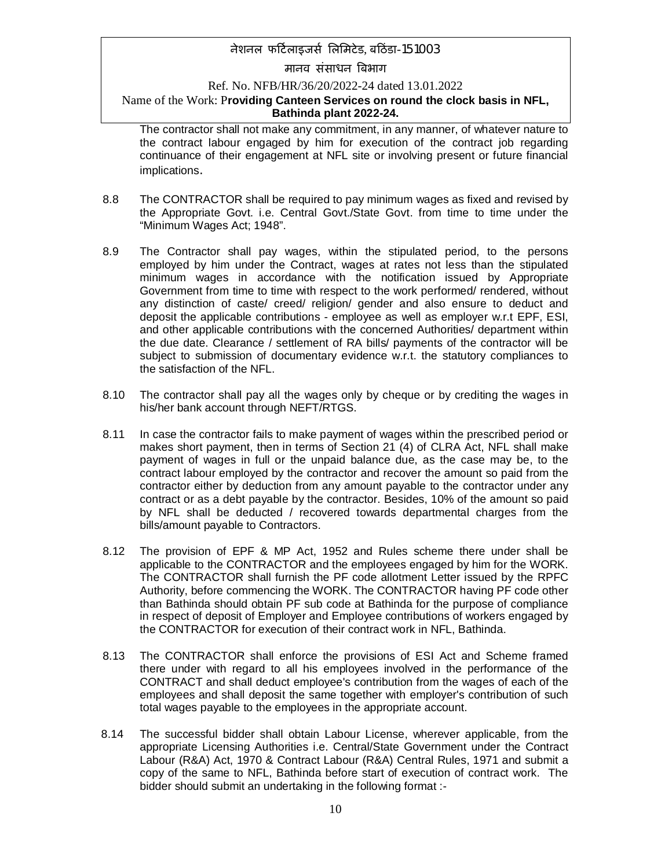मानव संसाधन बिभाग

#### Ref. No. NFB/HR/36/20/2022-24 dated 13.01.2022

### Name of the Work: P**roviding Canteen Services on round the clock basis in NFL, Bathinda plant 2022-24.**

The contractor shall not make any commitment, in any manner, of whatever nature to the contract labour engaged by him for execution of the contract job regarding continuance of their engagement at NFL site or involving present or future financial implications.

- 8.8 The CONTRACTOR shall be required to pay minimum wages as fixed and revised by the Appropriate Govt. i.e. Central Govt./State Govt. from time to time under the "Minimum Wages Act; 1948".
- 8.9 The Contractor shall pay wages, within the stipulated period, to the persons employed by him under the Contract, wages at rates not less than the stipulated minimum wages in accordance with the notification issued by Appropriate Government from time to time with respect to the work performed/ rendered, without any distinction of caste/ creed/ religion/ gender and also ensure to deduct and deposit the applicable contributions - employee as well as employer w.r.t EPF, ESI, and other applicable contributions with the concerned Authorities/ department within the due date. Clearance / settlement of RA bills/ payments of the contractor will be subject to submission of documentary evidence w.r.t. the statutory compliances to the satisfaction of the NFL.
- 8.10 The contractor shall pay all the wages only by cheque or by crediting the wages in his/her bank account through NEFT/RTGS.
- 8.11 In case the contractor fails to make payment of wages within the prescribed period or makes short payment, then in terms of Section 21 (4) of CLRA Act, NFL shall make payment of wages in full or the unpaid balance due, as the case may be, to the contract labour employed by the contractor and recover the amount so paid from the contractor either by deduction from any amount payable to the contractor under any contract or as a debt payable by the contractor. Besides, 10% of the amount so paid by NFL shall be deducted / recovered towards departmental charges from the bills/amount payable to Contractors.
- 8.12 The provision of EPF & MP Act, 1952 and Rules scheme there under shall be applicable to the CONTRACTOR and the employees engaged by him for the WORK. The CONTRACTOR shall furnish the PF code allotment Letter issued by the RPFC Authority, before commencing the WORK. The CONTRACTOR having PF code other than Bathinda should obtain PF sub code at Bathinda for the purpose of compliance in respect of deposit of Employer and Employee contributions of workers engaged by the CONTRACTOR for execution of their contract work in NFL, Bathinda.
- 8.13 The CONTRACTOR shall enforce the provisions of ESI Act and Scheme framed there under with regard to all his employees involved in the performance of the CONTRACT and shall deduct employee's contribution from the wages of each of the employees and shall deposit the same together with employer's contribution of such total wages payable to the employees in the appropriate account.
- 8.14 The successful bidder shall obtain Labour License, wherever applicable, from the appropriate Licensing Authorities i.e. Central/State Government under the Contract Labour (R&A) Act, 1970 & Contract Labour (R&A) Central Rules, 1971 and submit a copy of the same to NFL, Bathinda before start of execution of contract work. The bidder should submit an undertaking in the following format :-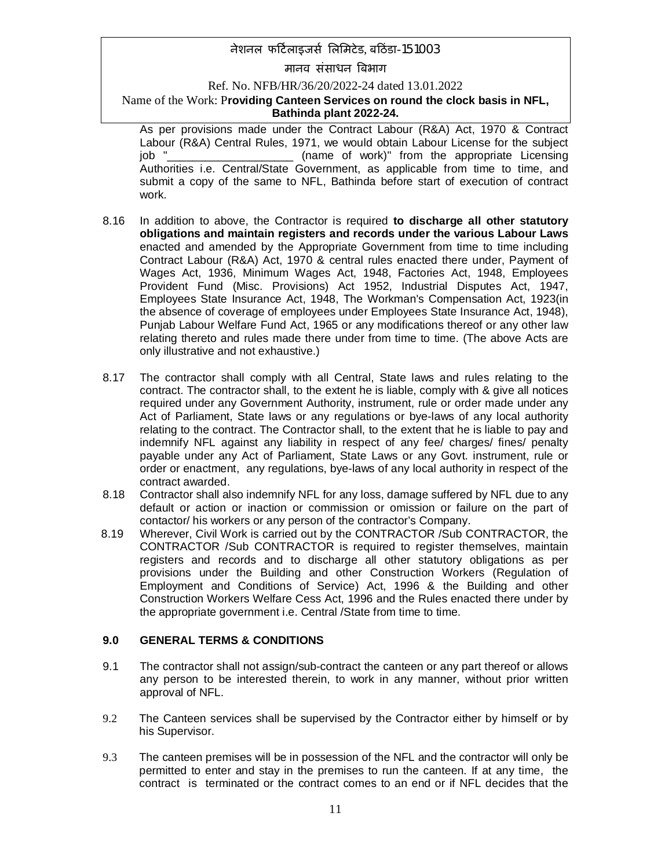मानव संसाधन बिभाग

Ref. No. NFB/HR/36/20/2022-24 dated 13.01.2022

### Name of the Work: P**roviding Canteen Services on round the clock basis in NFL, Bathinda plant 2022-24.**

As per provisions made under the Contract Labour (R&A) Act, 1970 & Contract Labour (R&A) Central Rules, 1971, we would obtain Labour License for the subject <sub>\_</sub>\_\_\_\_ (name of work)" from the appropriate Licensing Authorities i.e. Central/State Government, as applicable from time to time, and submit a copy of the same to NFL, Bathinda before start of execution of contract work.

- 8.16 In addition to above, the Contractor is required **to discharge all other statutory obligations and maintain registers and records under the various Labour Laws** enacted and amended by the Appropriate Government from time to time including Contract Labour (R&A) Act, 1970 & central rules enacted there under, Payment of Wages Act, 1936, Minimum Wages Act, 1948, Factories Act, 1948, Employees Provident Fund (Misc. Provisions) Act 1952, Industrial Disputes Act, 1947, Employees State Insurance Act, 1948, The Workman's Compensation Act, 1923(in the absence of coverage of employees under Employees State Insurance Act, 1948), Punjab Labour Welfare Fund Act, 1965 or any modifications thereof or any other law relating thereto and rules made there under from time to time. (The above Acts are only illustrative and not exhaustive.)
- 8.17 The contractor shall comply with all Central, State laws and rules relating to the contract. The contractor shall, to the extent he is liable, comply with & give all notices required under any Government Authority, instrument, rule or order made under any Act of Parliament, State laws or any regulations or bye-laws of any local authority relating to the contract. The Contractor shall, to the extent that he is liable to pay and indemnify NFL against any liability in respect of any fee/ charges/ fines/ penalty payable under any Act of Parliament, State Laws or any Govt. instrument, rule or order or enactment, any regulations, bye-laws of any local authority in respect of the contract awarded.
- 8.18 Contractor shall also indemnify NFL for any loss, damage suffered by NFL due to any default or action or inaction or commission or omission or failure on the part of contactor/ his workers or any person of the contractor's Company.
- 8.19 Wherever, Civil Work is carried out by the CONTRACTOR /Sub CONTRACTOR, the CONTRACTOR /Sub CONTRACTOR is required to register themselves, maintain registers and records and to discharge all other statutory obligations as per provisions under the Building and other Construction Workers (Regulation of Employment and Conditions of Service) Act, 1996 & the Building and other Construction Workers Welfare Cess Act, 1996 and the Rules enacted there under by the appropriate government i.e. Central /State from time to time.

### **9.0 GENERAL TERMS & CONDITIONS**

- 9.1 The contractor shall not assign/sub-contract the canteen or any part thereof or allows any person to be interested therein, to work in any manner, without prior written approval of NFL.
- 9.2 The Canteen services shall be supervised by the Contractor either by himself or by his Supervisor.
- 9.3 The canteen premises will be in possession of the NFL and the contractor will only be permitted to enter and stay in the premises to run the canteen. If at any time, the contract is terminated or the contract comes to an end or if NFL decides that the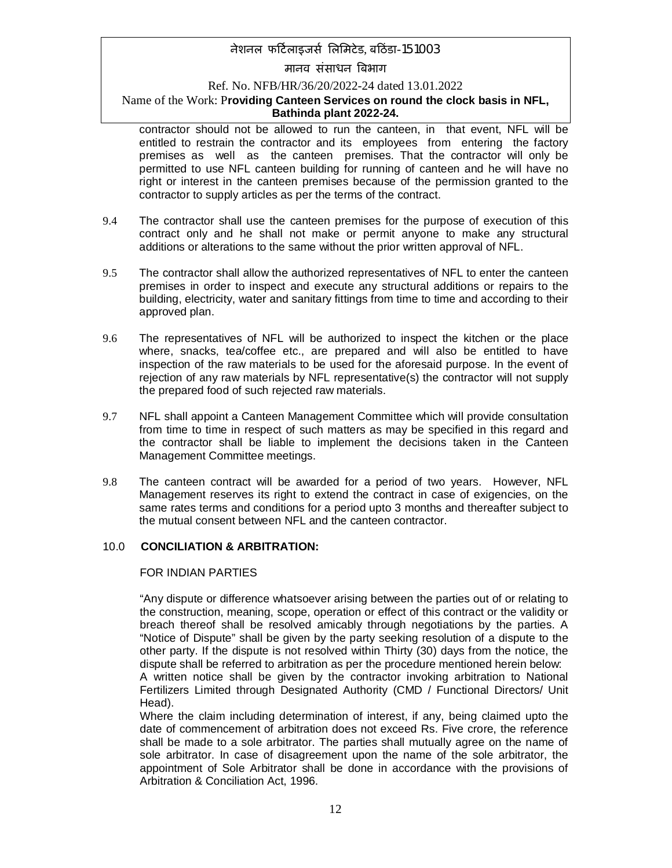# मानव संसाधन बिभाग

### Ref. No. NFB/HR/36/20/2022-24 dated 13.01.2022

### Name of the Work: P**roviding Canteen Services on round the clock basis in NFL, Bathinda plant 2022-24.**

contractor should not be allowed to run the canteen, in that event, NFL will be entitled to restrain the contractor and its employees from entering the factory premises as well as the canteen premises. That the contractor will only be permitted to use NFL canteen building for running of canteen and he will have no right or interest in the canteen premises because of the permission granted to the contractor to supply articles as per the terms of the contract.

- 9.4 The contractor shall use the canteen premises for the purpose of execution of this contract only and he shall not make or permit anyone to make any structural additions or alterations to the same without the prior written approval of NFL.
- 9.5 The contractor shall allow the authorized representatives of NFL to enter the canteen premises in order to inspect and execute any structural additions or repairs to the building, electricity, water and sanitary fittings from time to time and according to their approved plan.
- 9.6 The representatives of NFL will be authorized to inspect the kitchen or the place where, snacks, tea/coffee etc., are prepared and will also be entitled to have inspection of the raw materials to be used for the aforesaid purpose. In the event of rejection of any raw materials by NFL representative(s) the contractor will not supply the prepared food of such rejected raw materials.
- 9.7 NFL shall appoint a Canteen Management Committee which will provide consultation from time to time in respect of such matters as may be specified in this regard and the contractor shall be liable to implement the decisions taken in the Canteen Management Committee meetings.
- 9.8 The canteen contract will be awarded for a period of two years. However, NFL Management reserves its right to extend the contract in case of exigencies, on the same rates terms and conditions for a period upto 3 months and thereafter subject to the mutual consent between NFL and the canteen contractor.

### 10.0 **CONCILIATION & ARBITRATION:**

#### FOR INDIAN PARTIES

"Any dispute or difference whatsoever arising between the parties out of or relating to the construction, meaning, scope, operation or effect of this contract or the validity or breach thereof shall be resolved amicably through negotiations by the parties. A "Notice of Dispute" shall be given by the party seeking resolution of a dispute to the other party. If the dispute is not resolved within Thirty (30) days from the notice, the dispute shall be referred to arbitration as per the procedure mentioned herein below:

A written notice shall be given by the contractor invoking arbitration to National Fertilizers Limited through Designated Authority (CMD / Functional Directors/ Unit Head).

Where the claim including determination of interest, if any, being claimed upto the date of commencement of arbitration does not exceed Rs. Five crore, the reference shall be made to a sole arbitrator. The parties shall mutually agree on the name of sole arbitrator. In case of disagreement upon the name of the sole arbitrator, the appointment of Sole Arbitrator shall be done in accordance with the provisions of Arbitration & Conciliation Act, 1996.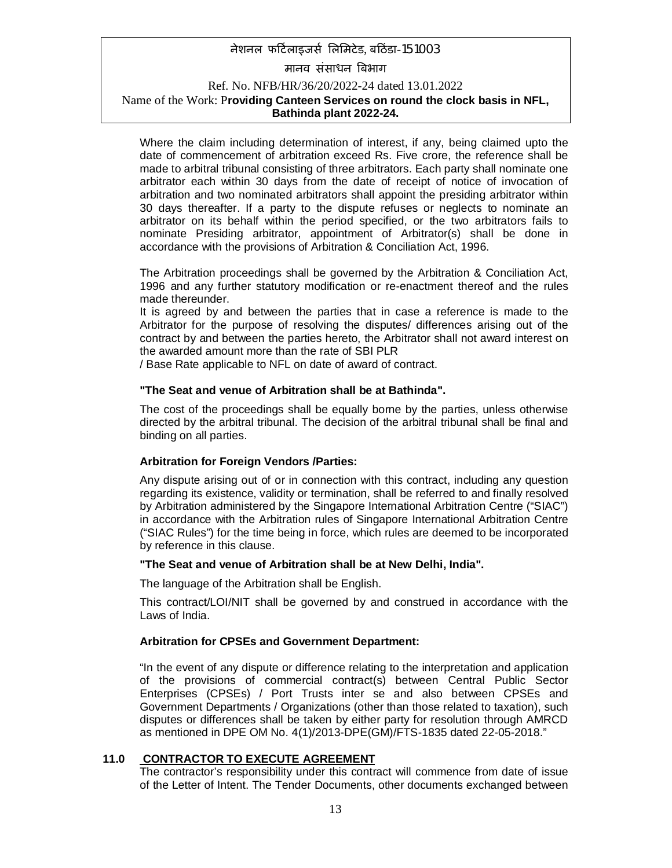Where the claim including determination of interest, if any, being claimed upto the date of commencement of arbitration exceed Rs. Five crore, the reference shall be made to arbitral tribunal consisting of three arbitrators. Each party shall nominate one arbitrator each within 30 days from the date of receipt of notice of invocation of arbitration and two nominated arbitrators shall appoint the presiding arbitrator within 30 days thereafter. If a party to the dispute refuses or neglects to nominate an arbitrator on its behalf within the period specified, or the two arbitrators fails to nominate Presiding arbitrator, appointment of Arbitrator(s) shall be done in accordance with the provisions of Arbitration & Conciliation Act, 1996.

The Arbitration proceedings shall be governed by the Arbitration & Conciliation Act, 1996 and any further statutory modification or re-enactment thereof and the rules made thereunder.

It is agreed by and between the parties that in case a reference is made to the Arbitrator for the purpose of resolving the disputes/ differences arising out of the contract by and between the parties hereto, the Arbitrator shall not award interest on the awarded amount more than the rate of SBI PLR

/ Base Rate applicable to NFL on date of award of contract.

#### **"The Seat and venue of Arbitration shall be at Bathinda".**

The cost of the proceedings shall be equally borne by the parties, unless otherwise directed by the arbitral tribunal. The decision of the arbitral tribunal shall be final and binding on all parties.

#### **Arbitration for Foreign Vendors /Parties:**

Any dispute arising out of or in connection with this contract, including any question regarding its existence, validity or termination, shall be referred to and finally resolved by Arbitration administered by the Singapore International Arbitration Centre ("SIAC") in accordance with the Arbitration rules of Singapore International Arbitration Centre ("SIAC Rules") for the time being in force, which rules are deemed to be incorporated by reference in this clause.

#### **"The Seat and venue of Arbitration shall be at New Delhi, India".**

The language of the Arbitration shall be English.

This contract/LOI/NIT shall be governed by and construed in accordance with the Laws of India.

#### **Arbitration for CPSEs and Government Department:**

"In the event of any dispute or difference relating to the interpretation and application of the provisions of commercial contract(s) between Central Public Sector Enterprises (CPSEs) / Port Trusts inter se and also between CPSEs and Government Departments / Organizations (other than those related to taxation), such disputes or differences shall be taken by either party for resolution through AMRCD as mentioned in DPE OM No. 4(1)/2013-DPE(GM)/FTS-1835 dated 22-05-2018."

#### **11.0 CONTRACTOR TO EXECUTE AGREEMENT**

The contractor's responsibility under this contract will commence from date of issue of the Letter of Intent. The Tender Documents, other documents exchanged between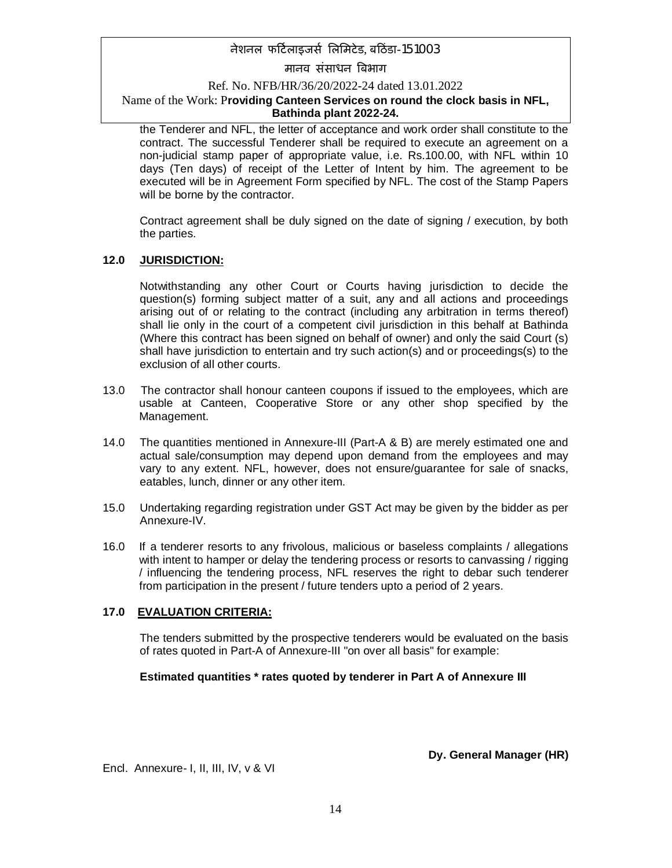मानव संसाधन बिभाग

Ref. No. NFB/HR/36/20/2022-24 dated 13.01.2022

### Name of the Work: P**roviding Canteen Services on round the clock basis in NFL, Bathinda plant 2022-24.**

the Tenderer and NFL, the letter of acceptance and work order shall constitute to the contract. The successful Tenderer shall be required to execute an agreement on a non-judicial stamp paper of appropriate value, i.e. Rs.100.00, with NFL within 10 days (Ten days) of receipt of the Letter of Intent by him. The agreement to be executed will be in Agreement Form specified by NFL. The cost of the Stamp Papers will be borne by the contractor.

Contract agreement shall be duly signed on the date of signing / execution, by both the parties.

### **12.0 JURISDICTION:**

Notwithstanding any other Court or Courts having jurisdiction to decide the question(s) forming subject matter of a suit, any and all actions and proceedings arising out of or relating to the contract (including any arbitration in terms thereof) shall lie only in the court of a competent civil jurisdiction in this behalf at Bathinda (Where this contract has been signed on behalf of owner) and only the said Court (s) shall have jurisdiction to entertain and try such action(s) and or proceedings(s) to the exclusion of all other courts.

- 13.0 The contractor shall honour canteen coupons if issued to the employees, which are usable at Canteen, Cooperative Store or any other shop specified by the Management.
- 14.0 The quantities mentioned in Annexure-III (Part-A & B) are merely estimated one and actual sale/consumption may depend upon demand from the employees and may vary to any extent. NFL, however, does not ensure/guarantee for sale of snacks, eatables, lunch, dinner or any other item.
- 15.0 Undertaking regarding registration under GST Act may be given by the bidder as per Annexure-IV.
- 16.0 If a tenderer resorts to any frivolous, malicious or baseless complaints / allegations with intent to hamper or delay the tendering process or resorts to canvassing / rigging / influencing the tendering process, NFL reserves the right to debar such tenderer from participation in the present / future tenders upto a period of 2 years.

### **17.0 EVALUATION CRITERIA:**

The tenders submitted by the prospective tenderers would be evaluated on the basis of rates quoted in Part-A of Annexure-III "on over all basis" for example:

### **Estimated quantities \* rates quoted by tenderer in Part A of Annexure III**

**Dy. General Manager (HR)**

Encl. Annexure- I, II, III, IV, v & VI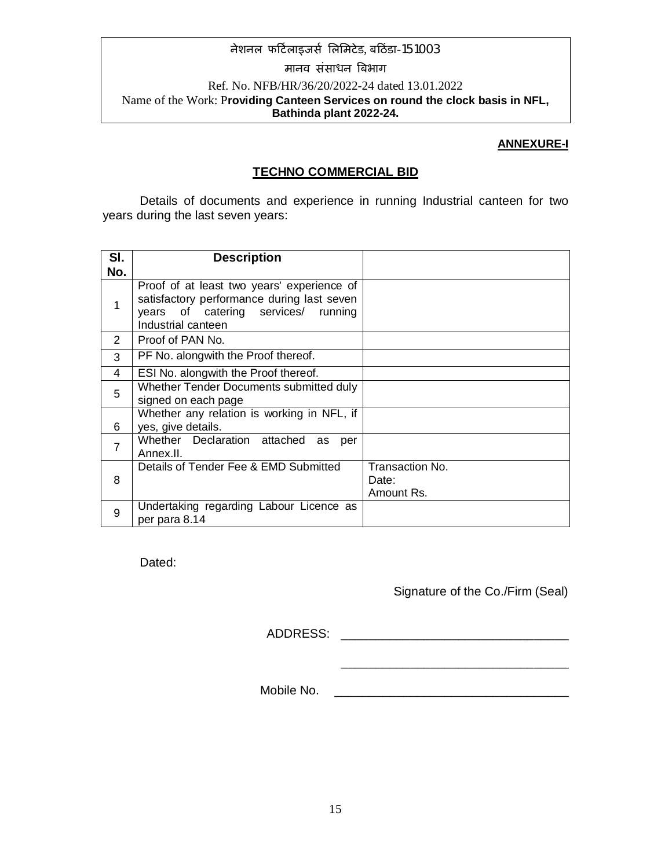### **ANNEXURE-I**

## **TECHNO COMMERCIAL BID**

Details of documents and experience in running Industrial canteen for two years during the last seven years:

| SI.          | <b>Description</b>                                                                                                                                    |                                        |
|--------------|-------------------------------------------------------------------------------------------------------------------------------------------------------|----------------------------------------|
| No.          |                                                                                                                                                       |                                        |
| $\mathbf{1}$ | Proof of at least two years' experience of<br>satisfactory performance during last seven<br>years of catering services/ running<br>Industrial canteen |                                        |
| 2            | Proof of PAN No.                                                                                                                                      |                                        |
| 3            | PF No. alongwith the Proof thereof.                                                                                                                   |                                        |
| 4            | ESI No. alongwith the Proof thereof.                                                                                                                  |                                        |
| 5            | Whether Tender Documents submitted duly<br>signed on each page                                                                                        |                                        |
| 6            | Whether any relation is working in NFL, if<br>yes, give details.                                                                                      |                                        |
| 7            | Whether Declaration attached<br>as<br>per<br>Annex II.                                                                                                |                                        |
| 8            | Details of Tender Fee & EMD Submitted                                                                                                                 | Transaction No.<br>Date:<br>Amount Rs. |
| 9            | Undertaking regarding Labour Licence as<br>per para 8.14                                                                                              |                                        |

Dated:

## Signature of the Co./Firm (Seal)

ADDRESS: \_\_\_\_\_\_\_\_\_\_\_\_\_\_\_\_\_\_\_\_\_\_\_\_\_\_\_\_\_\_\_\_\_

\_\_\_\_\_\_\_\_\_\_\_\_\_\_\_\_\_\_\_\_\_\_\_\_\_\_\_\_\_\_\_\_\_

Mobile No.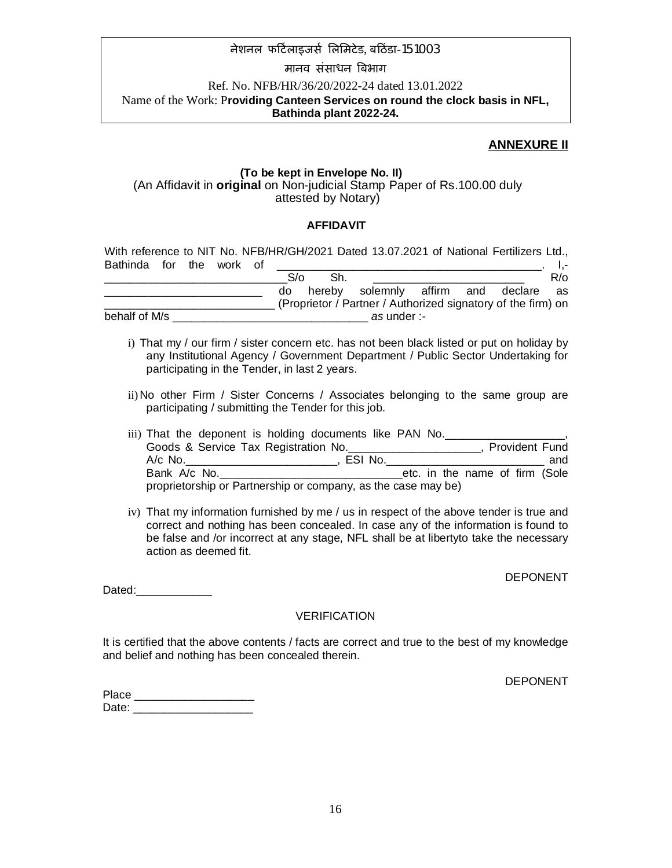### मानव संसाधन बिभाग

### Ref. No. NFB/HR/36/20/2022-24 dated 13.01.2022 Name of the Work: P**roviding Canteen Services on round the clock basis in NFL, Bathinda plant 2022-24.**

## **ANNEXURE II**

### **(To be kept in Envelope No. II)** (An Affidavit in **original** on Non-judicial Stamp Paper of Rs.100.00 duly attested by Notary)

### **AFFIDAVIT**

|                          |  |  |            |        | With reference to NIT No. NFB/HR/GH/2021 Dated 13.07.2021 of National Fertilizers Ltd., |  |            |
|--------------------------|--|--|------------|--------|-----------------------------------------------------------------------------------------|--|------------|
| Bathinda for the work of |  |  |            |        |                                                                                         |  |            |
|                          |  |  | $S/\alpha$ | Sh.    |                                                                                         |  | $R/\alpha$ |
|                          |  |  | do         | hereby | solemnly affirm and declare as                                                          |  |            |
|                          |  |  |            |        | (Proprietor / Partner / Authorized signatory of the firm) on                            |  |            |
| behalf of M/s            |  |  |            |        | as under :-                                                                             |  |            |

- i) That my / our firm / sister concern etc. has not been black listed or put on holiday by any Institutional Agency / Government Department / Public Sector Undertaking for participating in the Tender, in last 2 years.
- ii) No other Firm / Sister Concerns / Associates belonging to the same group are participating / submitting the Tender for this job.

| iii) That the deponent is holding documents like PAN No.      |         |  |  |                                |  |                       |
|---------------------------------------------------------------|---------|--|--|--------------------------------|--|-----------------------|
| Goods & Service Tax Registration No.                          |         |  |  |                                |  | <b>Provident Fund</b> |
| A/c No.                                                       | ESI No. |  |  |                                |  | and                   |
| Bank A/c No.                                                  |         |  |  | etc. in the name of firm (Sole |  |                       |
| proprietorship or Partnership or company, as the case may be) |         |  |  |                                |  |                       |

iv) That my information furnished by me / us in respect of the above tender is true and correct and nothing has been concealed. In case any of the information is found to be false and /or incorrect at any stage, NFL shall be at libertyto take the necessary action as deemed fit.

DEPONENT

Dated:

### VERIFICATION

It is certified that the above contents / facts are correct and true to the best of my knowledge and belief and nothing has been concealed therein.

DEPONENT

| Place |  |
|-------|--|
| Date: |  |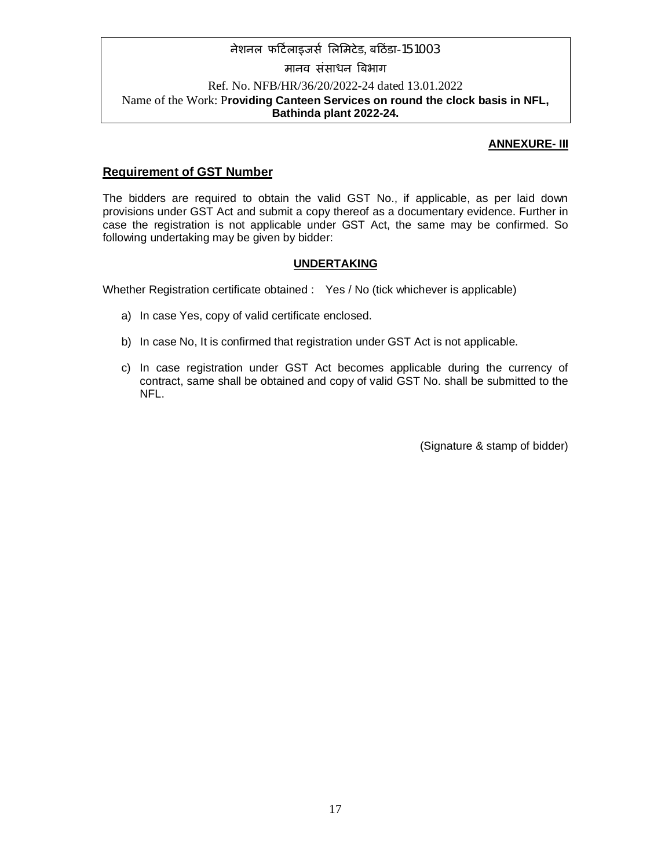### **ANNEXURE- III**

### **Requirement of GST Number**

The bidders are required to obtain the valid GST No., if applicable, as per laid down provisions under GST Act and submit a copy thereof as a documentary evidence. Further in case the registration is not applicable under GST Act, the same may be confirmed. So following undertaking may be given by bidder:

### **UNDERTAKING**

Whether Registration certificate obtained : Yes / No (tick whichever is applicable)

- a) In case Yes, copy of valid certificate enclosed.
- b) In case No, It is confirmed that registration under GST Act is not applicable.
- c) In case registration under GST Act becomes applicable during the currency of contract, same shall be obtained and copy of valid GST No. shall be submitted to the NFL.

(Signature & stamp of bidder)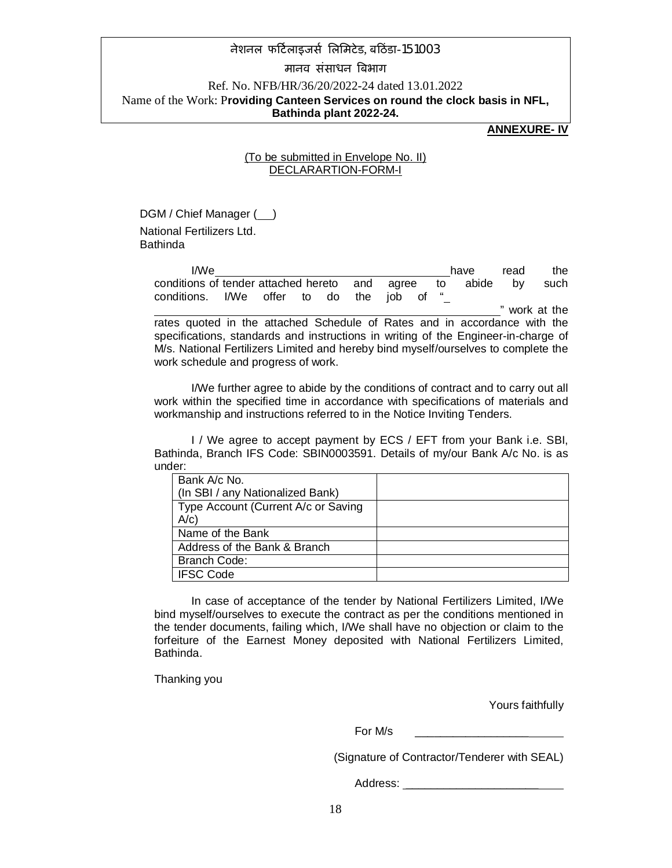### मानव संसाधन बिभाग

### Ref. No. NFB/HR/36/20/2022-24 dated 13.01.2022 Name of the Work: P**roviding Canteen Services on round the clock basis in NFL, Bathinda plant 2022-24.**

### **ANNEXURE- IV**

### (To be submitted in Envelope No. II) DECLARARTION-FORM-I

DGM / Chief Manager ( ) National Fertilizers Ltd. Bathinda

> I/We have read the conditions of tender attached hereto and agree to abide by such conditions. I/We offer to do the job of " " work at the rates quoted in the attached Schedule of Rates and in accordance with the specifications, standards and instructions in writing of the Engineer-in-charge of M/s. National Fertilizers Limited and hereby bind myself/ourselves to complete the work schedule and progress of work.

> I/We further agree to abide by the conditions of contract and to carry out all work within the specified time in accordance with specifications of materials and workmanship and instructions referred to in the Notice Inviting Tenders.

> I / We agree to accept payment by ECS / EFT from your Bank i.e. SBI, Bathinda, Branch IFS Code: SBIN0003591. Details of my/our Bank A/c No. is as under:

| Bank A/c No.                        |  |
|-------------------------------------|--|
| (In SBI / any Nationalized Bank)    |  |
| Type Account (Current A/c or Saving |  |
| $A/c$ )                             |  |
| Name of the Bank                    |  |
| Address of the Bank & Branch        |  |
| <b>Branch Code:</b>                 |  |
| <b>IFSC Code</b>                    |  |

In case of acceptance of the tender by National Fertilizers Limited, I/We bind myself/ourselves to execute the contract as per the conditions mentioned in the tender documents, failing which, I/We shall have no objection or claim to the forfeiture of the Earnest Money deposited with National Fertilizers Limited, Bathinda.

Thanking you

Yours faithfully

For M/s

(Signature of Contractor/Tenderer with SEAL)

Address: